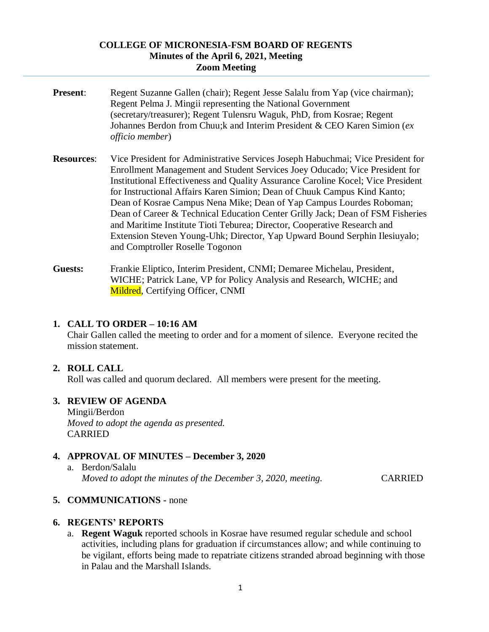#### **COLLEGE OF MICRONESIA-FSM BOARD OF REGENTS Minutes of the April 6, 2021, Meeting Zoom Meeting**

- **Present:** Regent Suzanne Gallen (chair); Regent Jesse Salalu from Yap (vice chairman); Regent Pelma J. Mingii representing the National Government (secretary/treasurer); Regent Tulensru Waguk, PhD, from Kosrae; Regent Johannes Berdon from Chuu;k and Interim President & CEO Karen Simion (*ex officio member*)
- **Resources**: Vice President for Administrative Services Joseph Habuchmai; Vice President for Enrollment Management and Student Services Joey Oducado; Vice President for Institutional Effectiveness and Quality Assurance Caroline Kocel; Vice President for Instructional Affairs Karen Simion; Dean of Chuuk Campus Kind Kanto; Dean of Kosrae Campus Nena Mike; Dean of Yap Campus Lourdes Roboman; Dean of Career & Technical Education Center Grilly Jack; Dean of FSM Fisheries and Maritime Institute Tioti Teburea; Director, Cooperative Research and Extension Steven Young-Uhk; Director, Yap Upward Bound Serphin Ilesiuyalo; and Comptroller Roselle Togonon
- **Guests:** Frankie Eliptico, Interim President, CNMI; Demaree Michelau, President, WICHE; Patrick Lane, VP for Policy Analysis and Research, WICHE; and Mildred, Certifying Officer, CNMI

#### **1. CALL TO ORDER – 10:16 AM**

Chair Gallen called the meeting to order and for a moment of silence. Everyone recited the mission statement.

## **2. ROLL CALL**

Roll was called and quorum declared. All members were present for the meeting.

#### **3. REVIEW OF AGENDA**

Mingii/Berdon *Moved to adopt the agenda as presented.*  CARRIED

#### **4. APPROVAL OF MINUTES – December 3, 2020**

a. Berdon/Salalu  *Moved to adopt the minutes of the December 3, 2020, meeting.* CARRIED

#### **5. COMMUNICATIONS -** none

#### **6. REGENTS' REPORTS**

a. **Regent Waguk** reported schools in Kosrae have resumed regular schedule and school activities, including plans for graduation if circumstances allow; and while continuing to be vigilant, efforts being made to repatriate citizens stranded abroad beginning with those in Palau and the Marshall Islands.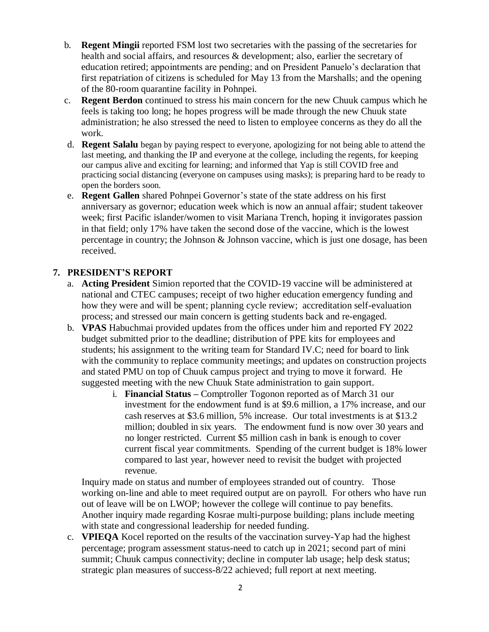- b. **Regent Mingii** reported FSM lost two secretaries with the passing of the secretaries for health and social affairs, and resources & development; also, earlier the secretary of education retired; appointments are pending; and on President Panuelo's declaration that first repatriation of citizens is scheduled for May 13 from the Marshalls; and the opening of the 80-room quarantine facility in Pohnpei.
- c. **Regent Berdon** continued to stress his main concern for the new Chuuk campus which he feels is taking too long; he hopes progress will be made through the new Chuuk state administration; he also stressed the need to listen to employee concerns as they do all the work.
- d. **Regent Salalu** began by paying respect to everyone, apologizing for not being able to attend the last meeting, and thanking the IP and everyone at the college, including the regents, for keeping our campus alive and exciting for learning; and informed that Yap is still COVID free and practicing social distancing (everyone on campuses using masks); is preparing hard to be ready to open the borders soon.
- e. **Regent Gallen** shared Pohnpei Governor's state of the state address on his first anniversary as governor; education week which is now an annual affair; student takeover week; first Pacific islander/women to visit Mariana Trench, hoping it invigorates passion in that field; only 17% have taken the second dose of the vaccine, which is the lowest percentage in country; the Johnson & Johnson vaccine, which is just one dosage, has been received.

## **7. PRESIDENT'S REPORT**

- a. **Acting President** Simion reported that the COVID-19 vaccine will be administered at national and CTEC campuses; receipt of two higher education emergency funding and how they were and will be spent; planning cycle review; accreditation self-evaluation process; and stressed our main concern is getting students back and re-engaged.
- b. **VPAS** Habuchmai provided updates from the offices under him and reported FY 2022 budget submitted prior to the deadline; distribution of PPE kits for employees and students; his assignment to the writing team for Standard IV.C; need for board to link with the community to replace community meetings; and updates on construction projects and stated PMU on top of Chuuk campus project and trying to move it forward. He suggested meeting with the new Chuuk State administration to gain support.
	- i. **Financial Status –** Comptroller Togonon reported as of March 31 our investment for the endowment fund is at \$9.6 million, a 17% increase, and our cash reserves at \$3.6 million, 5% increase. Our total investments is at \$13.2 million; doubled in six years. The endowment fund is now over 30 years and no longer restricted. Current \$5 million cash in bank is enough to cover current fiscal year commitments. Spending of the current budget is 18% lower compared to last year, however need to revisit the budget with projected revenue.

Inquiry made on status and number of employees stranded out of country. Those working on-line and able to meet required output are on payroll. For others who have run out of leave will be on LWOP; however the college will continue to pay benefits. Another inquiry made regarding Kosrae multi-purpose building; plans include meeting with state and congressional leadership for needed funding.

c. **VPIEQA** Kocel reported on the results of the vaccination survey-Yap had the highest percentage; program assessment status-need to catch up in 2021; second part of mini summit; Chuuk campus connectivity; decline in computer lab usage; help desk status; strategic plan measures of success-8/22 achieved; full report at next meeting.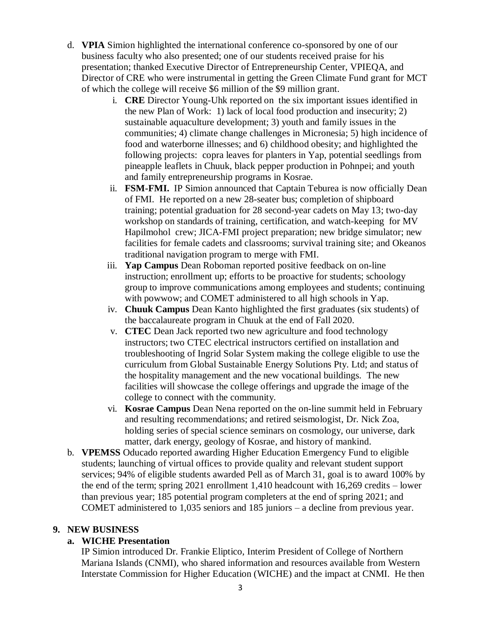- d. **VPIA** Simion highlighted the international conference co-sponsored by one of our business faculty who also presented; one of our students received praise for his presentation; thanked Executive Director of Entrepreneurship Center, VPIEQA, and Director of CRE who were instrumental in getting the Green Climate Fund grant for MCT of which the college will receive \$6 million of the \$9 million grant.
	- i. **CRE** Director Young-Uhk reported on the six important issues identified in the new Plan of Work: 1) lack of local food production and insecurity; 2) sustainable aquaculture development; 3) youth and family issues in the communities; 4) climate change challenges in Micronesia; 5) high incidence of food and waterborne illnesses; and 6) childhood obesity; and highlighted the following projects: copra leaves for planters in Yap, potential seedlings from pineapple leaflets in Chuuk, black pepper production in Pohnpei; and youth and family entrepreneurship programs in Kosrae.
	- ii. **FSM-FMI.** IP Simion announced that Captain Teburea is now officially Dean of FMI. He reported on a new 28-seater bus; completion of shipboard training; potential graduation for 28 second-year cadets on May 13; two-day workshop on standards of training, certification, and watch-keeping for MV Hapilmohol crew; JICA-FMI project preparation; new bridge simulator; new facilities for female cadets and classrooms; survival training site; and Okeanos traditional navigation program to merge with FMI.
	- iii. **Yap Campus** Dean Roboman reported positive feedback on on-line instruction; enrollment up; efforts to be proactive for students; schoology group to improve communications among employees and students; continuing with powwow; and COMET administered to all high schools in Yap.
	- iv. **Chuuk Campus** Dean Kanto highlighted the first graduates (six students) of the baccalaureate program in Chuuk at the end of Fall 2020.
	- v. **CTEC** Dean Jack reported two new agriculture and food technology instructors; two CTEC electrical instructors certified on installation and troubleshooting of Ingrid Solar System making the college eligible to use the curriculum from Global Sustainable Energy Solutions Pty. Ltd; and status of the hospitality management and the new vocational buildings. The new facilities will showcase the college offerings and upgrade the image of the college to connect with the community.
	- vi. **Kosrae Campus** Dean Nena reported on the on-line summit held in February and resulting recommendations; and retired seismologist, Dr. Nick Zoa, holding series of special science seminars on cosmology, our universe, dark matter, dark energy, geology of Kosrae, and history of mankind.
- b. **VPEMSS** Oducado reported awarding Higher Education Emergency Fund to eligible students; launching of virtual offices to provide quality and relevant student support services; 94% of eligible students awarded Pell as of March 31, goal is to award 100% by the end of the term; spring 2021 enrollment 1,410 headcount with 16,269 credits – lower than previous year; 185 potential program completers at the end of spring 2021; and COMET administered to 1,035 seniors and 185 juniors – a decline from previous year.

## **9. NEW BUSINESS**

## **a. WICHE Presentation**

IP Simion introduced Dr. Frankie Eliptico, Interim President of College of Northern Mariana Islands (CNMI), who shared information and resources available from Western Interstate Commission for Higher Education (WICHE) and the impact at CNMI. He then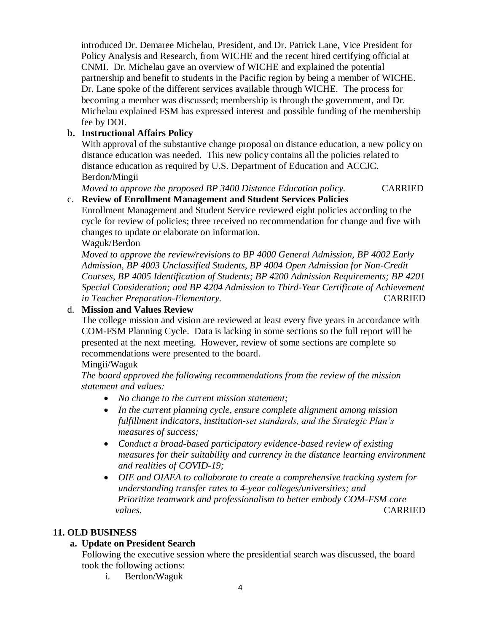introduced Dr. Demaree Michelau, President, and Dr. Patrick Lane, Vice President for Policy Analysis and Research, from WICHE and the recent hired certifying official at CNMI. Dr. Michelau gave an overview of WICHE and explained the potential partnership and benefit to students in the Pacific region by being a member of WICHE. Dr. Lane spoke of the different services available through WICHE. The process for becoming a member was discussed; membership is through the government, and Dr. Michelau explained FSM has expressed interest and possible funding of the membership fee by DOI.

## **b. Instructional Affairs Policy**

With approval of the substantive change proposal on distance education, a new policy on distance education was needed. This new policy contains all the policies related to distance education as required by U.S. Department of Education and ACCJC. Berdon/Mingii

*Moved to approve the proposed BP 3400 Distance Education policy.* CARRIED

# c. **Review of Enrollment Management and Student Services Policies**

Enrollment Management and Student Service reviewed eight policies according to the cycle for review of policies; three received no recommendation for change and five with changes to update or elaborate on information.

Waguk/Berdon

*Moved to approve the review/revisions to BP 4000 General Admission, BP 4002 Early Admission, BP 4003 Unclassified Students, BP 4004 Open Admission for Non-Credit Courses, BP 4005 Identification of Students; BP 4200 Admission Requirements; BP 4201 Special Consideration; and BP 4204 Admission to Third-Year Certificate of Achievement in Teacher Preparation-Elementary.* CARRIED

## d. **Mission and Values Review**

The college mission and vision are reviewed at least every five years in accordance with COM-FSM Planning Cycle. Data is lacking in some sections so the full report will be presented at the next meeting. However, review of some sections are complete so recommendations were presented to the board.

## Mingii/Waguk

*The board approved the following recommendations from the review of the mission statement and values:*

- *No change to the current mission statement;*
- *In the current planning cycle, ensure complete alignment among mission fulfillment indicators, institution-set standards, and the Strategic Plan's measures of success;*
- *Conduct a broad-based participatory evidence-based review of existing measures for their suitability and currency in the distance learning environment and realities of COVID-19;*
- *OIE and OIAEA to collaborate to create a comprehensive tracking system for understanding transfer rates to 4-year colleges/universities; and Prioritize teamwork and professionalism to better embody COM-FSM core values.* CARRIED

## **11. OLD BUSINESS**

## **a. Update on President Search**

 Following the executive session where the presidential search was discussed, the board took the following actions:

i. Berdon/Waguk